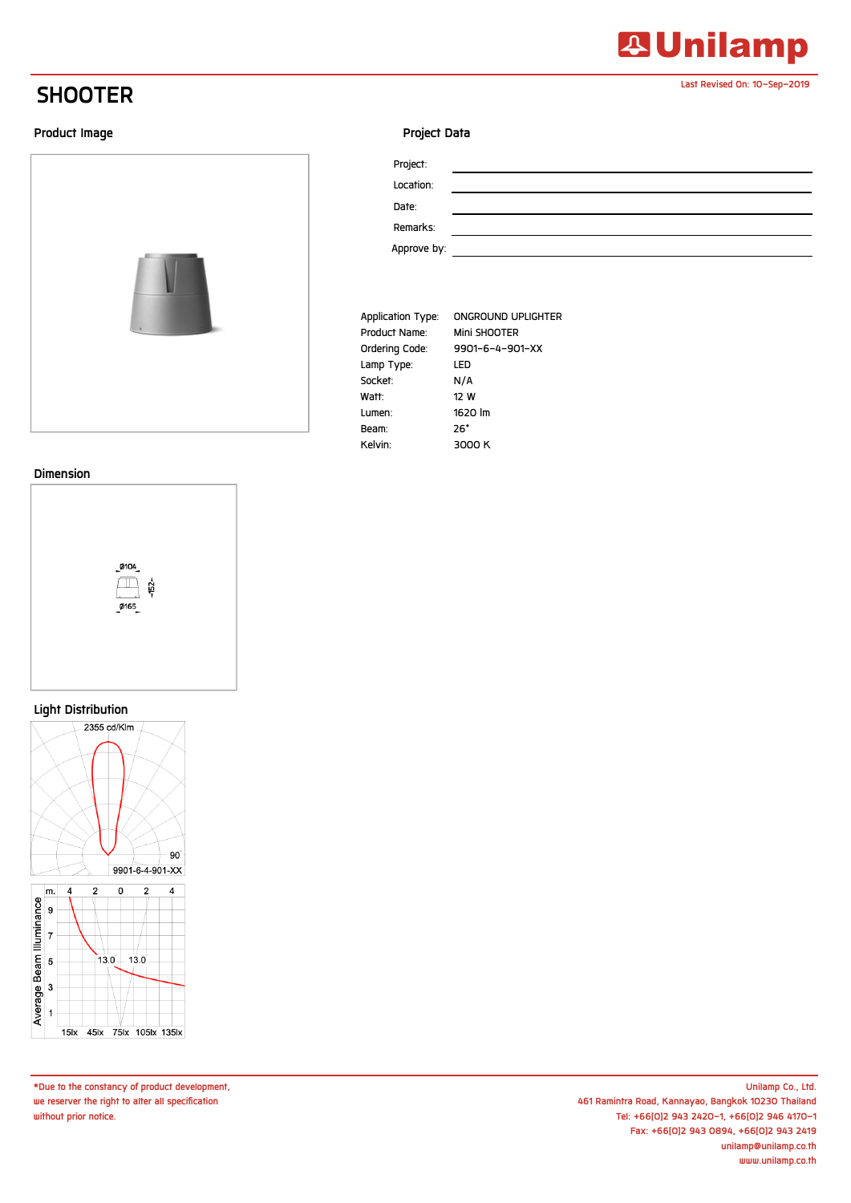## **SHOOTER**

### **Product Image**



#### **Dimension**



#### **Light Distribution**



**\*Due to the constancy of product development, we reserver the right to alter all specification without prior notice.**

### **Project Data**

| Project:    |  |
|-------------|--|
| Location:   |  |
| Date:       |  |
| Remarks:    |  |
| Approve by: |  |

| Application Type: | ONGROUND UPLIGHTER |
|-------------------|--------------------|
| Product Name:     | Mini SHOOTER       |
| Ordering Code:    | 9901-6-4-901-XX    |
| Lamp Type:        | LED                |
| Socket:           | N/A                |
| Watt:             | 12 W               |
| Lumen:            | 1620 lm            |
| Beam:             | 26°                |
| Kelvin:           | 3000 K             |



**Last Revised On: 10-Sep-2019**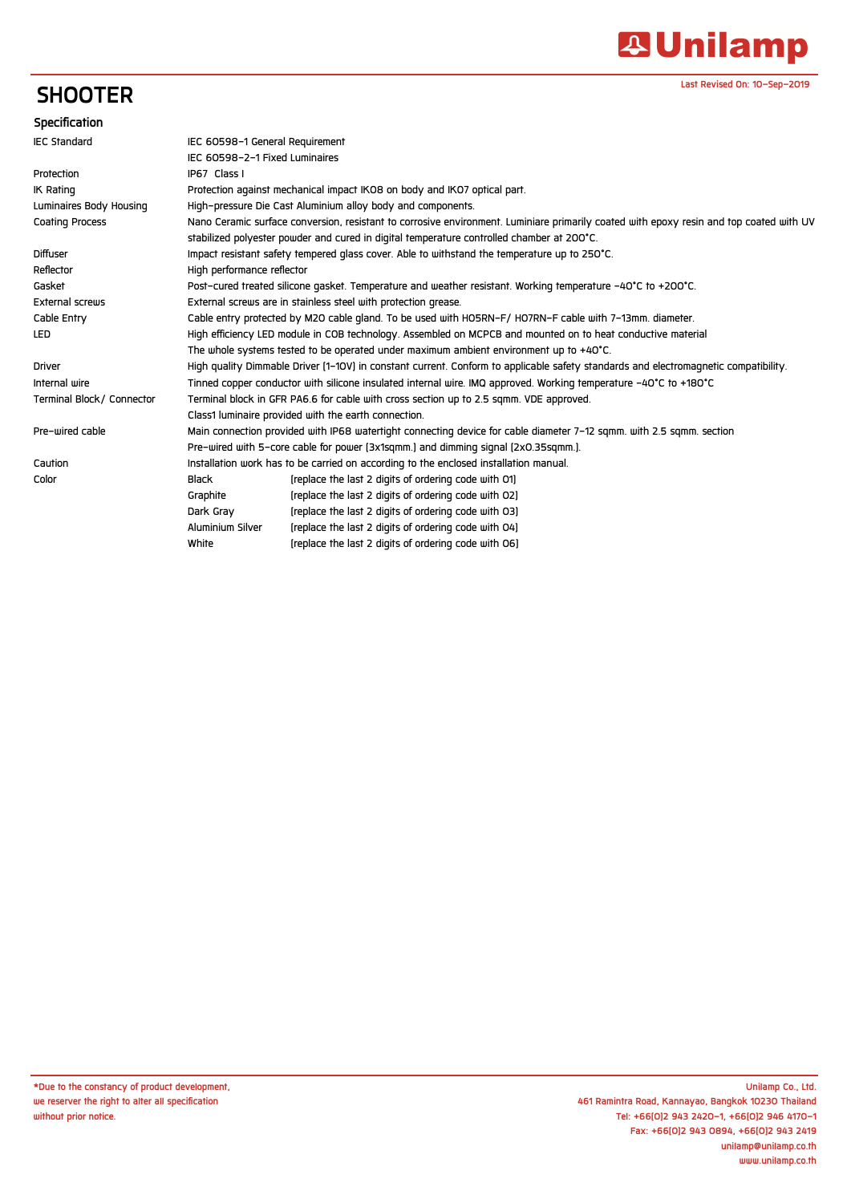# **A Unilamp**

**Last Revised On: 10-Sep-2019**

## **SHOOTER**

| Specification             |                                                                                                                                         |                                                      |  |
|---------------------------|-----------------------------------------------------------------------------------------------------------------------------------------|------------------------------------------------------|--|
| <b>IEC Standard</b>       | IEC 60598-1 General Requirement                                                                                                         |                                                      |  |
|                           | IEC 60598-2-1 Fixed Luminaires                                                                                                          |                                                      |  |
| Protection                | IP67 Class I                                                                                                                            |                                                      |  |
| <b>IK Rating</b>          | Protection against mechanical impact IKO8 on body and IKO7 optical part.                                                                |                                                      |  |
| Luminaires Body Housing   | High-pressure Die Cast Aluminium alloy body and components.                                                                             |                                                      |  |
| <b>Coating Process</b>    | Nano Ceramic surface conversion, resistant to corrosive environment. Luminiare primarily coated with epoxy resin and top coated with UV |                                                      |  |
|                           | stabilized polyester powder and cured in digital temperature controlled chamber at 200°C.                                               |                                                      |  |
| <b>Diffuser</b>           | Impact resistant safety tempered glass cover. Able to withstand the temperature up to 250°C.                                            |                                                      |  |
| Reflector                 | High performance reflector                                                                                                              |                                                      |  |
| Gasket                    | Post-cured treated silicone gasket. Temperature and weather resistant. Working temperature -40°C to +200°C.                             |                                                      |  |
| External screws           | External screws are in stainless steel with protection grease.                                                                          |                                                      |  |
| Cable Entry               | Cable entry protected by M2O cable gland. To be used with HO5RN-F/HO7RN-F cable with 7-13mm. diameter.                                  |                                                      |  |
| LED                       | High efficiency LED module in COB technology. Assembled on MCPCB and mounted on to heat conductive material                             |                                                      |  |
|                           | The whole systems tested to be operated under maximum ambient environment up to +40°C.                                                  |                                                      |  |
| <b>Driver</b>             | High quality Dimmable Driver [1-10V] in constant current. Conform to applicable safety standards and electromagnetic compatibility.     |                                                      |  |
| Internal wire             | Tinned copper conductor with silicone insulated internal wire. IMQ approved. Working temperature -40°C to +180°C                        |                                                      |  |
| Terminal Block/ Connector | Terminal block in GFR PA6.6 for cable with cross section up to 2.5 sgmm. VDE approved.                                                  |                                                      |  |
|                           | Class1 luminaire provided with the earth connection.                                                                                    |                                                      |  |
| Pre-wired cable           | Main connection provided with IP68 watertight connecting device for cable diameter 7-12 sqmm. with 2.5 sqmm. section                    |                                                      |  |
|                           | Pre-wired with 5-core cable for power (3x1sqmm.) and dimming signal (2x0.35sqmm.).                                                      |                                                      |  |
| Caution                   | Installation work has to be carried on according to the enclosed installation manual.                                                   |                                                      |  |
| Color                     | <b>Black</b>                                                                                                                            | [replace the last 2 digits of ordering code with O1] |  |
|                           | Graphite                                                                                                                                | [replace the last 2 digits of ordering code with O2] |  |
|                           | Dark Gray                                                                                                                               | [replace the last 2 digits of ordering code with O3] |  |
|                           | Aluminium Silver                                                                                                                        | [replace the last 2 digits of ordering code with 04] |  |
|                           | White                                                                                                                                   | [replace the last 2 digits of ordering code with 06] |  |